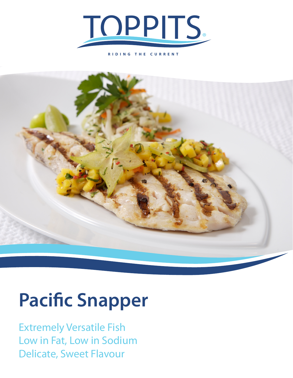

**RIDING THE CURRENT**



## **Pacific Snapper**

Extremely Versatile Fish Low in Fat, Low in Sodium Delicate, Sweet Flavour